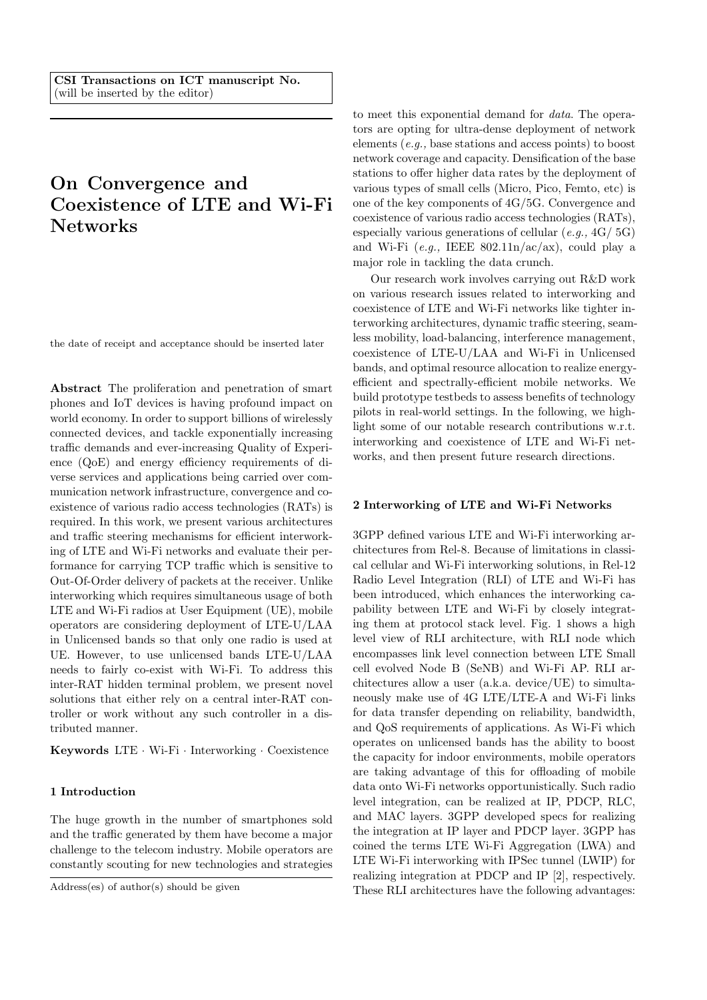# On Convergence and Coexistence of LTE and Wi-Fi Networks

the date of receipt and acceptance should be inserted later

Abstract The proliferation and penetration of smart phones and IoT devices is having profound impact on world economy. In order to support billions of wirelessly connected devices, and tackle exponentially increasing traffic demands and ever-increasing Quality of Experience (QoE) and energy efficiency requirements of diverse services and applications being carried over communication network infrastructure, convergence and coexistence of various radio access technologies (RATs) is required. In this work, we present various architectures and traffic steering mechanisms for efficient interworking of LTE and Wi-Fi networks and evaluate their performance for carrying TCP traffic which is sensitive to Out-Of-Order delivery of packets at the receiver. Unlike interworking which requires simultaneous usage of both LTE and Wi-Fi radios at User Equipment (UE), mobile operators are considering deployment of LTE-U/LAA in Unlicensed bands so that only one radio is used at UE. However, to use unlicensed bands LTE-U/LAA needs to fairly co-exist with Wi-Fi. To address this inter-RAT hidden terminal problem, we present novel solutions that either rely on a central inter-RAT controller or work without any such controller in a distributed manner.

Keywords LTE · Wi-Fi · Interworking · Coexistence

## 1 Introduction

The huge growth in the number of smartphones sold and the traffic generated by them have become a major challenge to the telecom industry. Mobile operators are constantly scouting for new technologies and strategies

Address(es) of author(s) should be given

to meet this exponential demand for data. The operators are opting for ultra-dense deployment of network elements (e.g., base stations and access points) to boost network coverage and capacity. Densification of the base stations to offer higher data rates by the deployment of various types of small cells (Micro, Pico, Femto, etc) is one of the key components of 4G/5G. Convergence and coexistence of various radio access technologies (RATs), especially various generations of cellular  $(e.g., 4G/5G)$ and Wi-Fi  $(e.g., \text{ IEEE } 802.11n/ac/ax)$ , could play a major role in tackling the data crunch.

Our research work involves carrying out R&D work on various research issues related to interworking and coexistence of LTE and Wi-Fi networks like tighter interworking architectures, dynamic traffic steering, seamless mobility, load-balancing, interference management, coexistence of LTE-U/LAA and Wi-Fi in Unlicensed bands, and optimal resource allocation to realize energyefficient and spectrally-efficient mobile networks. We build prototype testbeds to assess benefits of technology pilots in real-world settings. In the following, we highlight some of our notable research contributions w.r.t. interworking and coexistence of LTE and Wi-Fi networks, and then present future research directions.

## 2 Interworking of LTE and Wi-Fi Networks

3GPP defined various LTE and Wi-Fi interworking architectures from Rel-8. Because of limitations in classical cellular and Wi-Fi interworking solutions, in Rel-12 Radio Level Integration (RLI) of LTE and Wi-Fi has been introduced, which enhances the interworking capability between LTE and Wi-Fi by closely integrating them at protocol stack level. Fig. 1 shows a high level view of RLI architecture, with RLI node which encompasses link level connection between LTE Small cell evolved Node B (SeNB) and Wi-Fi AP. RLI architectures allow a user (a.k.a. device/UE) to simultaneously make use of 4G LTE/LTE-A and Wi-Fi links for data transfer depending on reliability, bandwidth, and QoS requirements of applications. As Wi-Fi which operates on unlicensed bands has the ability to boost the capacity for indoor environments, mobile operators are taking advantage of this for offloading of mobile data onto Wi-Fi networks opportunistically. Such radio level integration, can be realized at IP, PDCP, RLC, and MAC layers. 3GPP developed specs for realizing the integration at IP layer and PDCP layer. 3GPP has coined the terms LTE Wi-Fi Aggregation (LWA) and LTE Wi-Fi interworking with IPSec tunnel (LWIP) for realizing integration at PDCP and IP [2], respectively. These RLI architectures have the following advantages: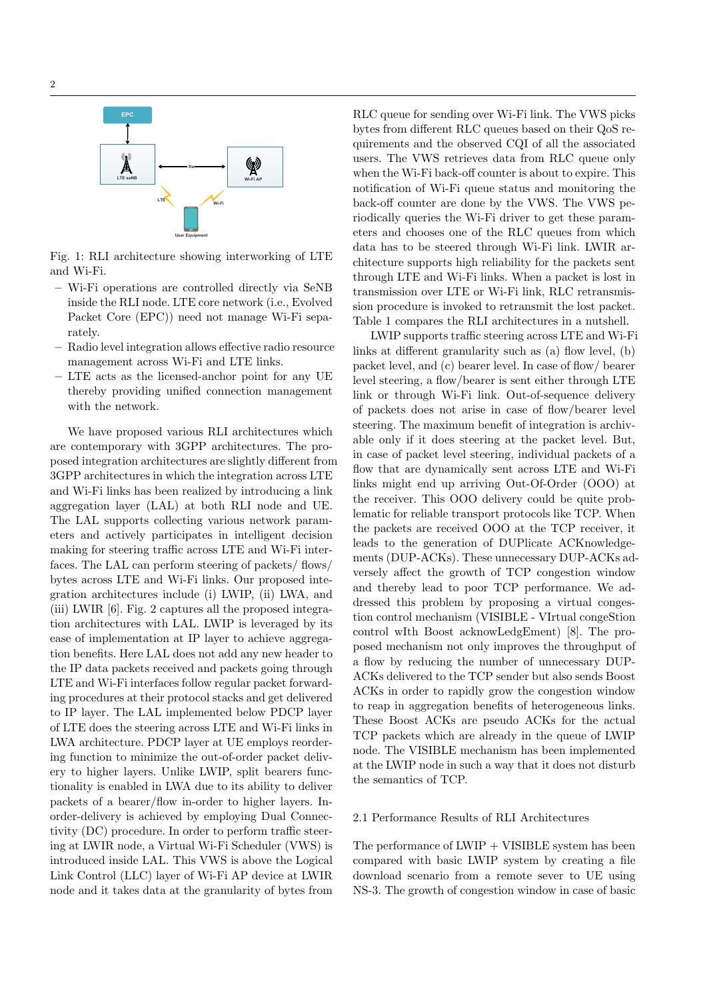

Fig. 1: RLI architecture showing interworking of LTE and Wi-Fi.

- Wi-Fi operations are controlled directly via SeNB inside the RLI node. LTE core network (i.e., Evolved Packet Core (EPC)) need not manage Wi-Fi separately.
- Radio level integration allows effective radio resource management across Wi-Fi and LTE links.
- LTE acts as the licensed-anchor point for any UE thereby providing unified connection management with the network.

We have proposed various RLI architectures which are contemporary with 3GPP architectures. The proposed integration architectures are slightly different from 3GPP architectures in which the integration across LTE and Wi-Fi links has been realized by introducing a link aggregation layer (LAL) at both RLI node and UE. The LAL supports collecting various network parameters and actively participates in intelligent decision making for steering traffic across LTE and Wi-Fi interfaces. The LAL can perform steering of packets/ flows/ bytes across LTE and Wi-Fi links. Our proposed integration architectures include (i) LWIP, (ii) LWA, and (iii) LWIR [6]. Fig. 2 captures all the proposed integration architectures with LAL. LWIP is leveraged by its ease of implementation at IP layer to achieve aggregation benefits. Here LAL does not add any new header to the IP data packets received and packets going through LTE and Wi-Fi interfaces follow regular packet forwarding procedures at their protocol stacks and get delivered to IP layer. The LAL implemented below PDCP layer of LTE does the steering across LTE and Wi-Fi links in LWA architecture. PDCP layer at UE employs reordering function to minimize the out-of-order packet delivery to higher layers. Unlike LWIP, split bearers functionality is enabled in LWA due to its ability to deliver packets of a bearer/flow in-order to higher layers. Inorder-delivery is achieved by employing Dual Connectivity (DC) procedure. In order to perform traffic steering at LWIR node, a Virtual Wi-Fi Scheduler (VWS) is introduced inside LAL. This VWS is above the Logical Link Control (LLC) layer of Wi-Fi AP device at LWIR node and it takes data at the granularity of bytes from

RLC queue for sending over Wi-Fi link. The VWS picks bytes from different RLC queues based on their QoS requirements and the observed CQI of all the associated users. The VWS retrieves data from RLC queue only when the Wi-Fi back-off counter is about to expire. This notification of Wi-Fi queue status and monitoring the back-off counter are done by the VWS. The VWS periodically queries the Wi-Fi driver to get these parameters and chooses one of the RLC queues from which data has to be steered through Wi-Fi link. LWIR architecture supports high reliability for the packets sent through LTE and Wi-Fi links. When a packet is lost in transmission over LTE or Wi-Fi link, RLC retransmission procedure is invoked to retransmit the lost packet. Table 1 compares the RLI architectures in a nutshell.

LWIP supports traffic steering across LTE and Wi-Fi links at different granularity such as (a) flow level, (b) packet level, and (c) bearer level. In case of flow/ bearer level steering, a flow/bearer is sent either through LTE link or through Wi-Fi link. Out-of-sequence delivery of packets does not arise in case of flow/bearer level steering. The maximum benefit of integration is archivable only if it does steering at the packet level. But, in case of packet level steering, individual packets of a flow that are dynamically sent across LTE and Wi-Fi links might end up arriving Out-Of-Order (OOO) at the receiver. This OOO delivery could be quite problematic for reliable transport protocols like TCP. When the packets are received OOO at the TCP receiver, it leads to the generation of DUPlicate ACKnowledgements (DUP-ACKs). These unnecessary DUP-ACKs adversely affect the growth of TCP congestion window and thereby lead to poor TCP performance. We addressed this problem by proposing a virtual congestion control mechanism (VISIBLE - VIrtual congeStion control wIth Boost acknowLedgEment) [8]. The proposed mechanism not only improves the throughput of a flow by reducing the number of unnecessary DUP-ACKs delivered to the TCP sender but also sends Boost ACKs in order to rapidly grow the congestion window to reap in aggregation benefits of heterogeneous links. These Boost ACKs are pseudo ACKs for the actual TCP packets which are already in the queue of LWIP node. The VISIBLE mechanism has been implemented at the LWIP node in such a way that it does not disturb the semantics of TCP.

#### 2.1 Performance Results of RLI Architectures

The performance of  $LWIP + VISIBLE$  system has been compared with basic LWIP system by creating a file download scenario from a remote sever to UE using NS-3. The growth of congestion window in case of basic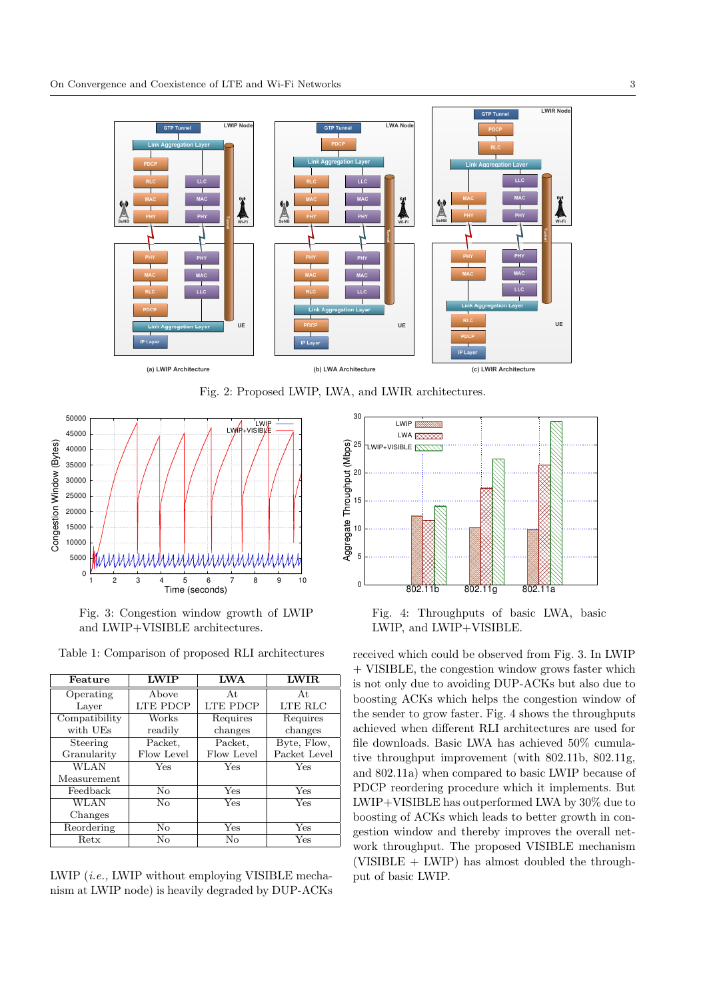

Fig. 2: Proposed LWIP, LWA, and LWIR architectures.



Fig. 3: Congestion window growth of LWIP and LWIP+VISIBLE architectures.

Table 1: Comparison of proposed RLI architectures

| Feature       | <b>LWIP</b> | <b>LWA</b> | <b>LWIR</b>  |
|---------------|-------------|------------|--------------|
| Operating     | Above       | At         | At           |
| Layer         | LTE PDCP    | LTE PDCP   | LTE RLC      |
| Compatibility | Works       | Requires   | Requires     |
| with UEs      | readily     | changes    | changes      |
| Steering      | Packet,     | Packet,    | Byte, Flow,  |
| Granularity   | Flow Level  | Flow Level | Packet Level |
| <b>WLAN</b>   | Yes         | Yes        | Yes          |
| Measurement   |             |            |              |
| Feedback      | No          | Yes        | Yes          |
| WLAN          | No          | Yes        | Yes          |
| Changes       |             |            |              |
| Reordering    | No          | Yes        | Yes          |
| Retx          | No          | No         | Yes          |

LWIP (i.e., LWIP without employing VISIBLE mechanism at LWIP node) is heavily degraded by DUP-ACKs



Fig. 4: Throughputs of basic LWA, basic LWIP, and LWIP+VISIBLE.

received which could be observed from Fig. 3. In LWIP + VISIBLE, the congestion window grows faster which is not only due to avoiding DUP-ACKs but also due to boosting ACKs which helps the congestion window of the sender to grow faster. Fig. 4 shows the throughputs achieved when different RLI architectures are used for file downloads. Basic LWA has achieved 50% cumulative throughput improvement (with 802.11b, 802.11g, and 802.11a) when compared to basic LWIP because of PDCP reordering procedure which it implements. But LWIP+VISIBLE has outperformed LWA by 30% due to boosting of ACKs which leads to better growth in congestion window and thereby improves the overall network throughput. The proposed VISIBLE mechanism (VISIBLE + LWIP) has almost doubled the throughput of basic LWIP.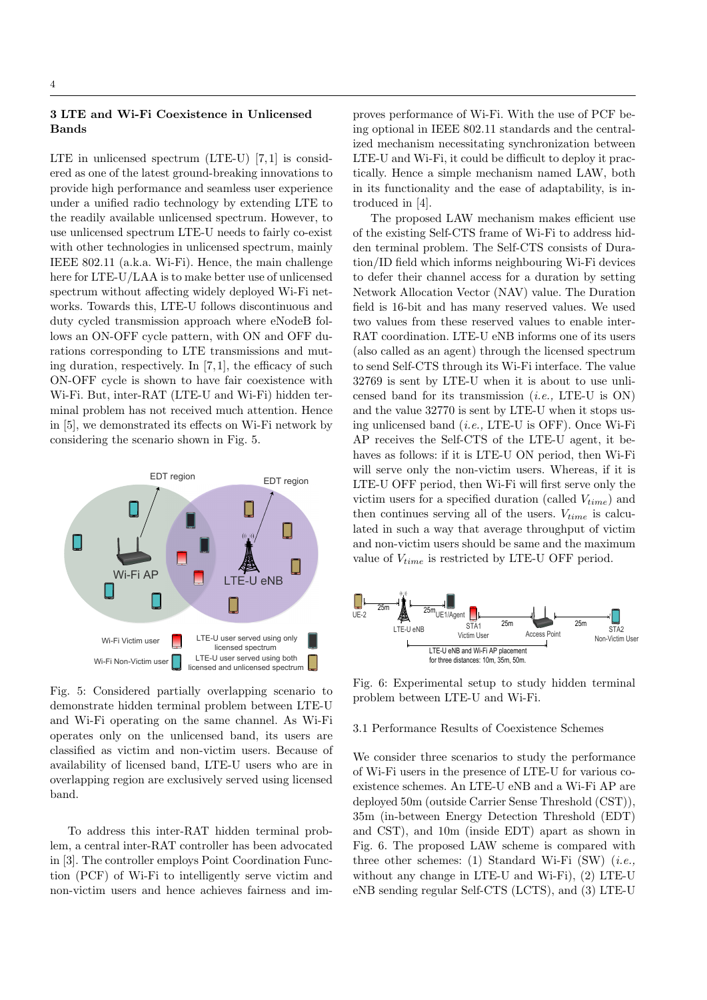# 3 LTE and Wi-Fi Coexistence in Unlicensed Bands

LTE in unlicensed spectrum (LTE-U) [7, 1] is considered as one of the latest ground-breaking innovations to provide high performance and seamless user experience under a unified radio technology by extending LTE to the readily available unlicensed spectrum. However, to use unlicensed spectrum LTE-U needs to fairly co-exist with other technologies in unlicensed spectrum, mainly IEEE 802.11 (a.k.a. Wi-Fi). Hence, the main challenge here for LTE-U/LAA is to make better use of unlicensed spectrum without affecting widely deployed Wi-Fi networks. Towards this, LTE-U follows discontinuous and duty cycled transmission approach where eNodeB follows an ON-OFF cycle pattern, with ON and OFF durations corresponding to LTE transmissions and muting duration, respectively. In  $[7,1]$ , the efficacy of such ON-OFF cycle is shown to have fair coexistence with Wi-Fi. But, inter-RAT (LTE-U and Wi-Fi) hidden terminal problem has not received much attention. Hence in [5], we demonstrated its effects on Wi-Fi network by considering the scenario shown in Fig. 5.



Fig. 5: Considered partially overlapping scenario to demonstrate hidden terminal problem between LTE-U and Wi-Fi operating on the same channel. As Wi-Fi operates only on the unlicensed band, its users are classified as victim and non-victim users. Because of availability of licensed band, LTE-U users who are in overlapping region are exclusively served using licensed band.

To address this inter-RAT hidden terminal problem, a central inter-RAT controller has been advocated in [3]. The controller employs Point Coordination Function (PCF) of Wi-Fi to intelligently serve victim and non-victim users and hence achieves fairness and improves performance of Wi-Fi. With the use of PCF being optional in IEEE 802.11 standards and the centralized mechanism necessitating synchronization between LTE-U and Wi-Fi, it could be difficult to deploy it practically. Hence a simple mechanism named LAW, both in its functionality and the ease of adaptability, is introduced in [4].

The proposed LAW mechanism makes efficient use of the existing Self-CTS frame of Wi-Fi to address hidden terminal problem. The Self-CTS consists of Duration/ID field which informs neighbouring Wi-Fi devices to defer their channel access for a duration by setting Network Allocation Vector (NAV) value. The Duration field is 16-bit and has many reserved values. We used two values from these reserved values to enable inter-RAT coordination. LTE-U eNB informs one of its users (also called as an agent) through the licensed spectrum to send Self-CTS through its Wi-Fi interface. The value 32769 is sent by LTE-U when it is about to use unlicensed band for its transmission  $(i.e., \text{LTE-U} \text{ is ON})$ and the value 32770 is sent by LTE-U when it stops using unlicensed band  $(i.e., \text{LTE-U}$  is OFF). Once Wi-Fi AP receives the Self-CTS of the LTE-U agent, it behaves as follows: if it is LTE-U ON period, then Wi-Fi will serve only the non-victim users. Whereas, if it is LTE-U OFF period, then Wi-Fi will first serve only the victim users for a specified duration (called  $V_{time}$ ) and then continues serving all of the users.  $V_{time}$  is calculated in such a way that average throughput of victim and non-victim users should be same and the maximum value of  $V_{time}$  is restricted by LTE-U OFF period.



Fig. 6: Experimental setup to study hidden terminal problem between LTE-U and Wi-Fi.

## 3.1 Performance Results of Coexistence Schemes

We consider three scenarios to study the performance of Wi-Fi users in the presence of LTE-U for various coexistence schemes. An LTE-U eNB and a Wi-Fi AP are deployed 50m (outside Carrier Sense Threshold (CST)), 35m (in-between Energy Detection Threshold (EDT) and CST), and 10m (inside EDT) apart as shown in Fig. 6. The proposed LAW scheme is compared with three other schemes: (1) Standard Wi-Fi  $(SW)$  (*i.e.*, without any change in LTE-U and Wi-Fi), (2) LTE-U eNB sending regular Self-CTS (LCTS), and (3) LTE-U